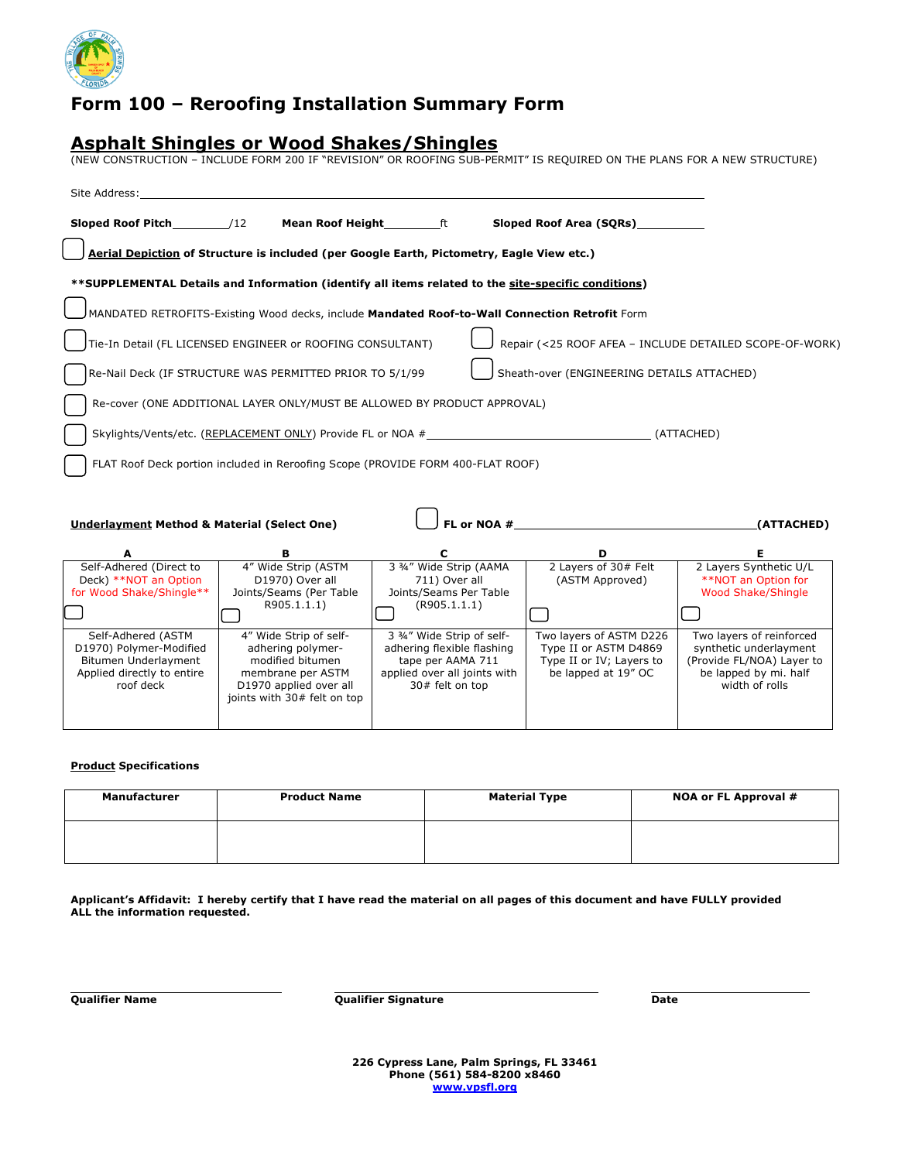

## **Form 100 – Reroofing Installation Summary Form**

### **Asphalt Shingles or Wood Shakes/Shingles**

(NEW CONSTRUCTION – INCLUDE FORM 200 IF "REVISION" OR ROOFING SUB-PERMIT" IS REQUIRED ON THE PLANS FOR A NEW STRUCTURE)

| Site Address:                                                                                                    |                                                                                                                                               |                                                                                                                                  |                                                                                                     |                                                                                                                            |
|------------------------------------------------------------------------------------------------------------------|-----------------------------------------------------------------------------------------------------------------------------------------------|----------------------------------------------------------------------------------------------------------------------------------|-----------------------------------------------------------------------------------------------------|----------------------------------------------------------------------------------------------------------------------------|
| <b>Sloped Roof Pitch /12</b>                                                                                     | <b>Mean Roof Height</b> ft                                                                                                                    |                                                                                                                                  | Sloped Roof Area (SQRs)                                                                             |                                                                                                                            |
|                                                                                                                  | Aerial Depiction of Structure is included (per Google Earth, Pictometry, Eagle View etc.)                                                     |                                                                                                                                  |                                                                                                     |                                                                                                                            |
|                                                                                                                  | **SUPPLEMENTAL Details and Information (identify all items related to the site-specific conditions)                                           |                                                                                                                                  |                                                                                                     |                                                                                                                            |
|                                                                                                                  | MANDATED RETROFITS-Existing Wood decks, include Mandated Roof-to-Wall Connection Retrofit Form                                                |                                                                                                                                  |                                                                                                     |                                                                                                                            |
|                                                                                                                  | Tie-In Detail (FL LICENSED ENGINEER or ROOFING CONSULTANT)                                                                                    |                                                                                                                                  |                                                                                                     | Repair (<25 ROOF AFEA - INCLUDE DETAILED SCOPE-OF-WORK)                                                                    |
|                                                                                                                  | Re-Nail Deck (IF STRUCTURE WAS PERMITTED PRIOR TO 5/1/99                                                                                      |                                                                                                                                  | Sheath-over (ENGINEERING DETAILS ATTACHED)                                                          |                                                                                                                            |
|                                                                                                                  | Re-cover (ONE ADDITIONAL LAYER ONLY/MUST BE ALLOWED BY PRODUCT APPROVAL)                                                                      |                                                                                                                                  |                                                                                                     |                                                                                                                            |
|                                                                                                                  | Skylights/Vents/etc. (REPLACEMENT ONLY) Provide FL or NOA #                                                                                   |                                                                                                                                  |                                                                                                     | (ATTACHED)                                                                                                                 |
|                                                                                                                  | FLAT Roof Deck portion included in Reroofing Scope (PROVIDE FORM 400-FLAT ROOF)                                                               |                                                                                                                                  |                                                                                                     |                                                                                                                            |
|                                                                                                                  |                                                                                                                                               |                                                                                                                                  |                                                                                                     |                                                                                                                            |
| <b>Underlayment Method &amp; Material (Select One)</b>                                                           |                                                                                                                                               |                                                                                                                                  | FL or NOA $#$                                                                                       | (ATTACHED)                                                                                                                 |
| A                                                                                                                | В                                                                                                                                             | c                                                                                                                                | D                                                                                                   | Е.                                                                                                                         |
| Self-Adhered (Direct to<br>Deck) **NOT an Option<br>for Wood Shake/Shingle**                                     | 4" Wide Strip (ASTM<br>D1970) Over all<br>Joints/Seams (Per Table<br>R905.1.1.1)                                                              | 3 3/4" Wide Strip (AAMA<br>711) Over all<br>Joints/Seams Per Table<br>(R905.1.1.1)                                               | 2 Layers of 30# Felt<br>(ASTM Approved)                                                             | 2 Layers Synthetic U/L<br>**NOT an Option for<br><b>Wood Shake/Shingle</b>                                                 |
|                                                                                                                  |                                                                                                                                               |                                                                                                                                  |                                                                                                     |                                                                                                                            |
| Self-Adhered (ASTM<br>D1970) Polymer-Modified<br>Bitumen Underlayment<br>Applied directly to entire<br>roof deck | 4" Wide Strip of self-<br>adhering polymer-<br>modified bitumen<br>membrane per ASTM<br>D1970 applied over all<br>joints with 30# felt on top | 3 3/4" Wide Strip of self-<br>adhering flexible flashing<br>tape per AAMA 711<br>applied over all joints with<br>30# felt on top | Two layers of ASTM D226<br>Type II or ASTM D4869<br>Type II or IV; Layers to<br>be lapped at 19" OC | Two layers of reinforced<br>synthetic underlayment<br>(Provide FL/NOA) Layer to<br>be lapped by mi. half<br>width of rolls |

#### **Product Specifications**

| Manufacturer | <b>Product Name</b> | <b>Material Type</b> | NOA or FL Approval # |
|--------------|---------------------|----------------------|----------------------|
|              |                     |                      |                      |

**Applicant's Affidavit: I hereby certify that I have read the material on all pages of this document and have FULLY provided ALL the information requested.**

|  |  | <b>Qualifier Name</b> |
|--|--|-----------------------|
|--|--|-----------------------|

**Qualifier Name Qualifier Signature Date**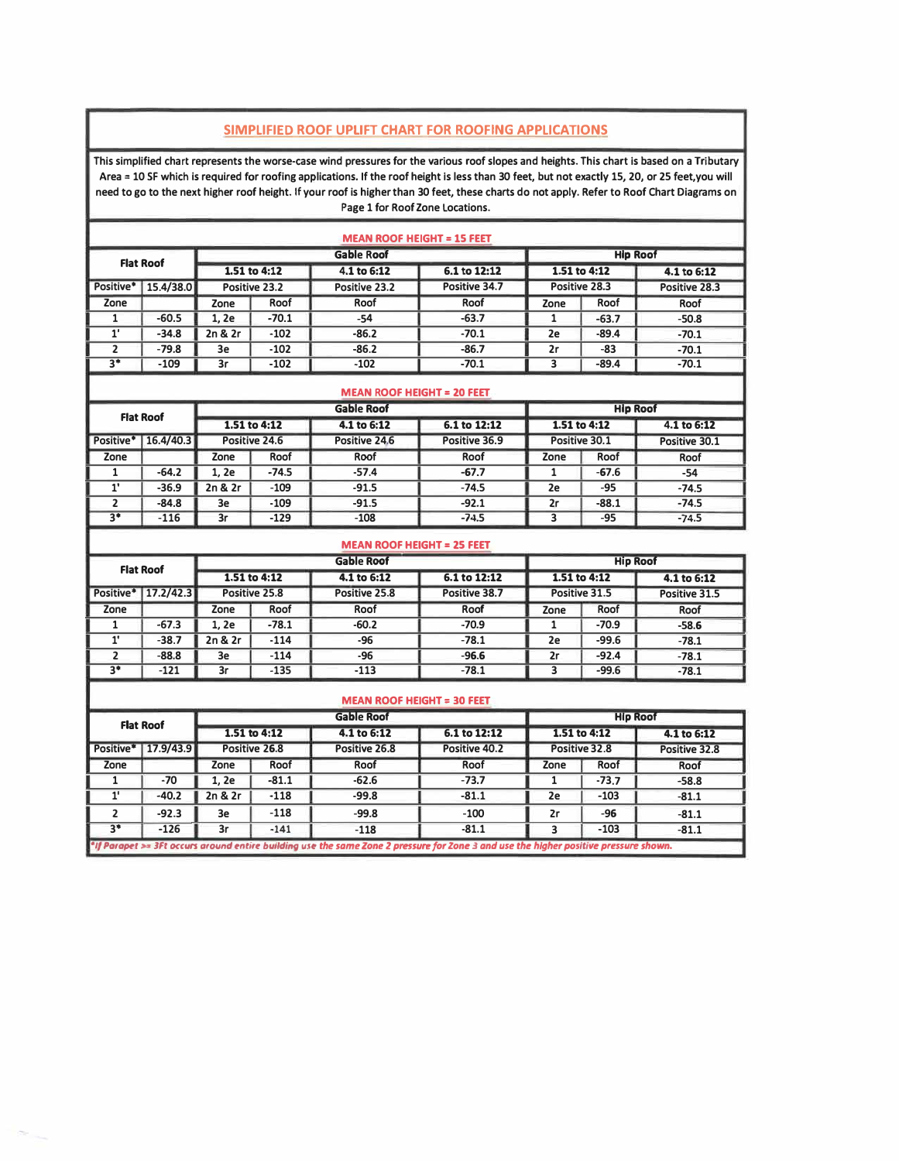### **SIMPLIFIED ROOF UPLIFT CHART FOR ROOFING APPLICATIONS**

This simplified chart represents the worse-case wind pressures for the various roof slopes and heights. This chart is based on a Tributary Area = 10 SF which is required for roofing applications. If the roof height is less than 30 feet, but not exactly 15, 20, or 25 feet,you will **need to go to the next higher roof height. If your roof is higher than 30 feet, these charts do not apply. Refer to Roof Chart Diagrams on Page 1 for Roof Zone Locations.** 

| <b>MEAN ROOF HEIGHT = 15 FEET</b>                        |           |         |               |               |               |      |               |               |
|----------------------------------------------------------|-----------|---------|---------------|---------------|---------------|------|---------------|---------------|
| <b>Gable Roof</b><br><b>Hip Roof</b><br><b>Flat Roof</b> |           |         |               |               |               |      |               |               |
|                                                          |           |         | 1.51 to 4:12  | 4.1 to 6:12   | 6.1 to 12:12  |      | 1.51 to 4:12  | 4.1 to 6:12   |
| Positive*                                                | 15.4/38.0 |         | Positive 23.2 | Positive 23.2 | Positive 34.7 |      | Positive 28.3 | Positive 28.3 |
| Zone                                                     |           | Zone    | Roof          | Roof          | Roof          | Zone | Roof          | Roof          |
|                                                          | $-60.5$   | 1.2e    | $-70.1$       | -54           | $-63.7$       |      | $-63.7$       | $-50.8$       |
| 1'                                                       | $-34.8$   | 2n & 2r | $-102$        | $-86.2$       | $-70.1$       | 2e   | $-89.4$       | $-70.1$       |
|                                                          | $-79.8$   | 3e      | $-102$        | $-86.2$       | $-86.7$       | 2r   | $-83$         | $-70.1$       |
| $3*$                                                     | $-109$    | 3r      | $-102$        | $-102$        | $-70.1$       |      | $-89.4$       | $-70.1$       |

| <b>MEAN ROOF HEIGHT = 20 FEET</b>                        |           |         |               |               |               |              |               |               |
|----------------------------------------------------------|-----------|---------|---------------|---------------|---------------|--------------|---------------|---------------|
| <b>Gable Roof</b><br><b>Hip Roof</b><br><b>Flat Roof</b> |           |         |               |               |               |              |               |               |
|                                                          |           |         | 1.51 to 4:12  | 4.1 to 6:12   | 6.1 to 12:12  | 1.51 to 4:12 |               | 4.1 to 6:12   |
| Positive*                                                | 16.4/40.3 |         | Positive 24.6 | Positive 24.6 | Positive 36.9 |              | Positive 30.1 | Positive 30.1 |
| Zone                                                     |           | Zone    | Roof          | Roof          | Roof          | Zone         | Roof          | Roof          |
|                                                          | $-64.2$   | 1. 2e   | $-74.5$       | $-57.4$       | $-67.7$       |              | $-67.6$       | $-54$         |
|                                                          | $-36.9$   | 2n & 2r | $-109$        | $-91.5$       | $-74.5$       | 2e           | $-95$         | $-74.5$       |
|                                                          | $-84.8$   | 3e      | $-109$        | $-91.5$       | $-92.1$       | 2r           | $-88.1$       | $-74.5$       |
| $3*$                                                     | $-116$    | 3r      | $-129$        | $-108$        | $-74.5$       |              | -95           | $-74.5$       |

| <b>MEAN ROOF HEIGHT = 25 FEET</b> |                       |         |               |                   |               |              |                 |               |
|-----------------------------------|-----------------------|---------|---------------|-------------------|---------------|--------------|-----------------|---------------|
|                                   | <b>Flat Roof</b>      |         |               | <b>Gable Roof</b> |               |              | <b>Hip Roof</b> |               |
|                                   |                       |         | 1.51 to 4:12  | 4.1 to 6:12       | 6.1 to 12:12  | 1.51 to 4:12 |                 | 4.1 to 6:12   |
|                                   | Positive*   17.2/42.3 |         | Positive 25.8 | Positive 25.8     | Positive 38.7 |              | Positive 31.5   | Positive 31.5 |
| Zone                              |                       | Zone    | Roof          | Roof              | Roof          | Zone         | Roof            | Roof          |
|                                   | $-67.3$               | 1.2e    | $-78.1$       | $-60.2$           | $-70.9$       |              | $-70.9$         | $-58.6$       |
|                                   | $-38.7$               | 2n & 2r | $-114$        | $-96$             | $-78.1$       | 2e           | $-99.6$         | $-78.1$       |
|                                   | $-88.8$               | 3e      | $-114$        | $-96$             | $-96.6$       | 2r           | $-92.4$         | $-78.1$       |
| $3*$                              | $-121$                | 3r      | $-135$        | $-113$            | $-78.1$       |              | $-99.6$         | $-78.1$       |

|           |                  |         |               | <b>MEAN ROOF HEIGHT = 30 FEET</b>                                                                                                    |               |      |                 |               |
|-----------|------------------|---------|---------------|--------------------------------------------------------------------------------------------------------------------------------------|---------------|------|-----------------|---------------|
|           | <b>Flat Roof</b> |         |               | <b>Gable Roof</b>                                                                                                                    |               |      | <b>Hip Roof</b> |               |
|           |                  |         | 1.51 to 4:12  | 4.1 to 6:12                                                                                                                          | 6.1 to 12:12  |      | 1.51 to 4:12    | 4.1 to 6:12   |
| Positive* | 17.9/43.9        |         | Positive 26.8 | Positive 26.8                                                                                                                        | Positive 40.2 |      | Positive 32.8   | Positive 32.8 |
| Zone      |                  | Zone    | Roof          | Roof                                                                                                                                 | Roof          | Zone | Roof            | Roof          |
|           | $-70$            | 1, 2e   | $-81.1$       | $-62.6$                                                                                                                              | $-73.7$       |      | $-73.7$         | $-58.8$       |
|           | $-40.2$          | 2n & 2r | $-118$        | $-99.8$                                                                                                                              | $-81.1$       | 2e   | $-103$          | $-81.1$       |
|           | $-92.3$          | 3e      | $-118$        | $-99.8$                                                                                                                              | $-100$        | 2r   | -96             | $-81.1$       |
| $3*$      | $-126$           | 3r      | $-141$        | $-118$                                                                                                                               | $-81.1$       | 3    | $-103$          | $-81.1$       |
|           |                  |         |               | *If Parapet >= 3Ft occurs around entire building use the same Zone 2 pressure for Zone 3 and use the higher positive pressure shown. |               |      |                 |               |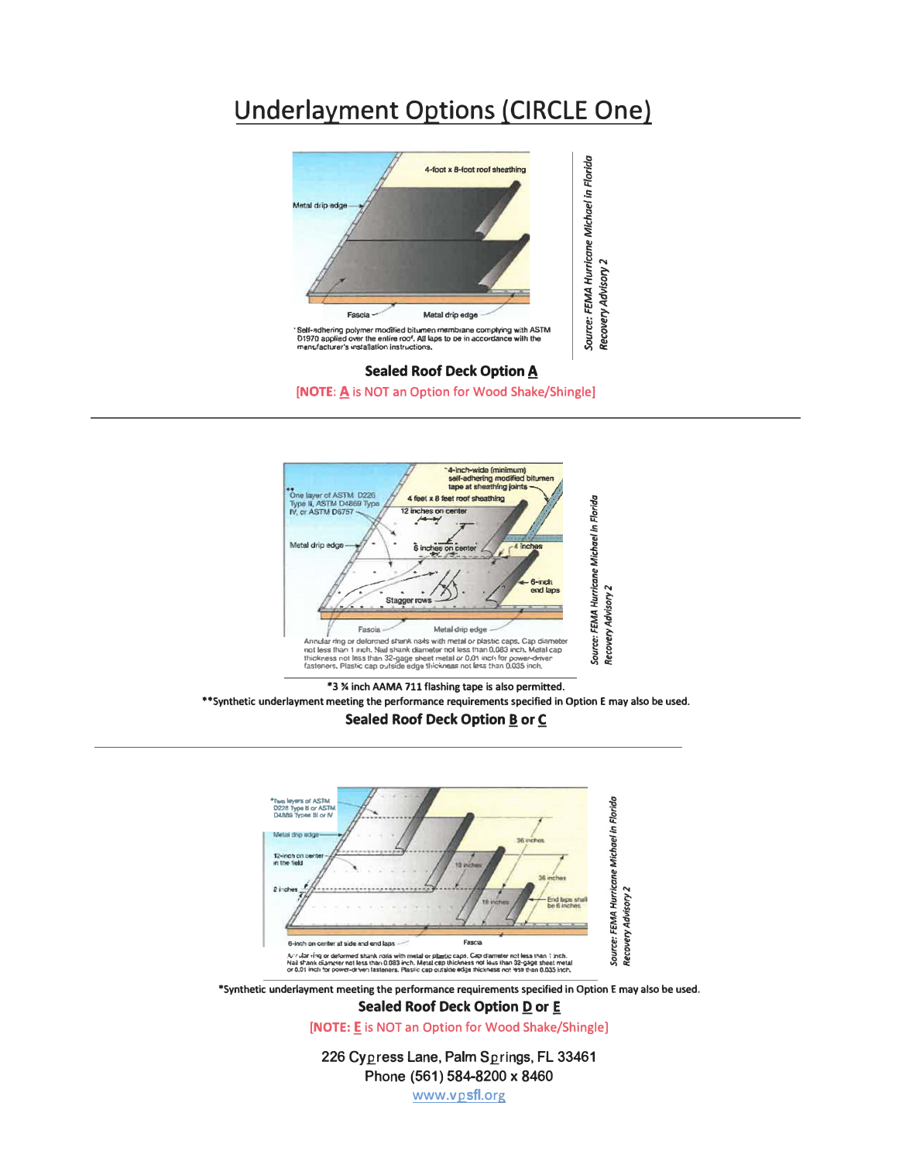# **Underlayment Options (CIRCLE One)**



4-inch-wide (minimum)<br>self-adhering modified bitumer<br>tape at sheathing joints Type layer of ASTM D226<br>Type II, ASTM D4869 Type<br>IV, or ASTM D6757 4 feet x 8 feet roof sheathing Source: FEMA Hurricane Michael in Florida 12 inches on Metal drip edg 6 inch 6-Inch **Recovery Advisory 2** end laps Stagger rows Fascia Metal drip edge If Annual ar ring or deformed strank nads with metal or plastic caps. Cap diameter and less than 1 much. Nail shamk diameter not less than 0,083 inch, Metal cap<br>thickness not less than 32-gage sheet metal or 0.01 inch for

\*3 % inch AAMA 711 flashing tape is also permitted. \*\* Synthetic underlayment meeting the performance requirements specified in Option E may also be used. **Sealed Roof Deck Option B or C** 



**Sealed Roof Deck Option D or E** 

[NOTE: E is NOT an Option for Wood Shake/Shingle]

226 Cypress Lane, Palm Springs, FL 33461 Phone (561) 584-8200 x 8460

www.vpsfl.org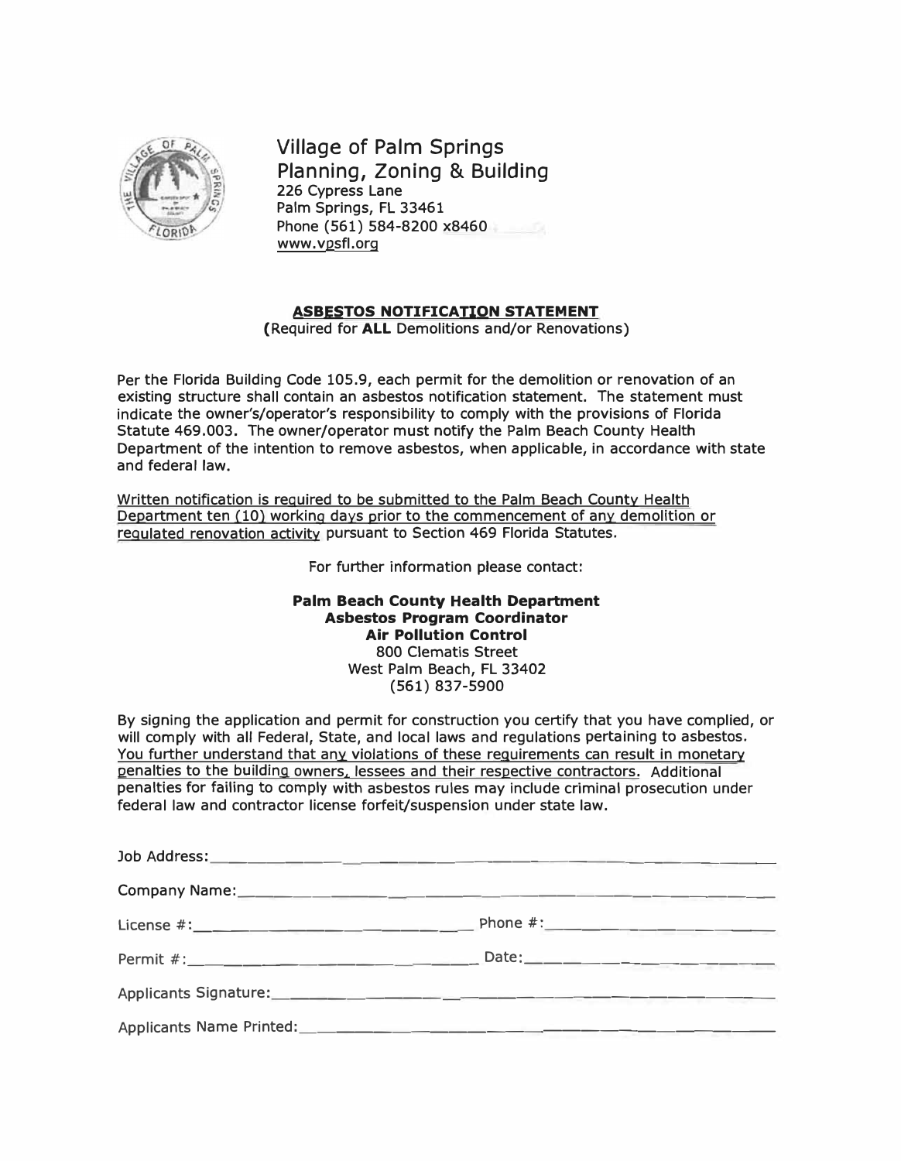

**Village of Palm Springs Planning, Zoning & Building**  226 Cypress Lane Palm Springs, FL 33461 Phone (561) 584-8200 x8460 www.vpsfl.org

### **ASBESTOS NOTIFICATION STATEMENT**

(Required for **ALL** Demolitions and/or Renovations)

Per the Florida Building Code 105.9, each permit for the demolition or renovation of an existing structure shall contain an asbestos notification statement. The statement must indicate the owner's/operator's responsibility to comply with the provisions of Florida Statute 469.003. The owner/operator must notify the Palm Beach County Health Department of the intention to remove asbestos, when applicable, in accordance with state and federal law.

Written notification is required to be submitted to the Palm Beach County Health Department ten (10) working days prior to the commencement of any demolition or regulated renovation activity pursuant to Section 469 Florida Statutes.

For further information please contact:

### **Palm Beach County Health Department Asbestos Program Coordinator Air Pollution Control**

800 Clematis Street West Palm Beach, FL 33402 (561) 837-5900

By signing the application and permit for construction you certify that you have complied, or will comply with all Federal, State, and local laws and regulations pertaining to asbestos. You further understand that any violations of these requirements can result in monetary penalties to the building owners, lessees and their respective contractors. Additional penalties for failing to comply with asbestos rules may include criminal prosecution under federal law and contractor license forfeit/suspension under state law.